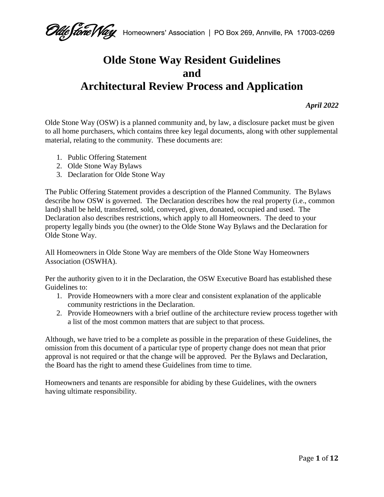# **Olde Stone Way Resident Guidelines and Architectural Review Process and Application**

*April 2022*

Olde Stone Way (OSW) is a planned community and, by law, a disclosure packet must be given to all home purchasers, which contains three key legal documents, along with other supplemental material, relating to the community. These documents are:

- 1. Public Offering Statement
- 2. Olde Stone Way Bylaws
- 3. Declaration for Olde Stone Way

The Public Offering Statement provides a description of the Planned Community. The Bylaws describe how OSW is governed. The Declaration describes how the real property (i.e., common land) shall be held, transferred, sold, conveyed, given, donated, occupied and used. The Declaration also describes restrictions, which apply to all Homeowners. The deed to your property legally binds you (the owner) to the Olde Stone Way Bylaws and the Declaration for Olde Stone Way.

All Homeowners in Olde Stone Way are members of the Olde Stone Way Homeowners Association (OSWHA).

Per the authority given to it in the Declaration, the OSW Executive Board has established these Guidelines to:

- 1. Provide Homeowners with a more clear and consistent explanation of the applicable community restrictions in the Declaration.
- 2. Provide Homeowners with a brief outline of the architecture review process together with a list of the most common matters that are subject to that process.

Although, we have tried to be a complete as possible in the preparation of these Guidelines, the omission from this document of a particular type of property change does not mean that prior approval is not required or that the change will be approved. Per the Bylaws and Declaration, the Board has the right to amend these Guidelines from time to time.

Homeowners and tenants are responsible for abiding by these Guidelines, with the owners having ultimate responsibility.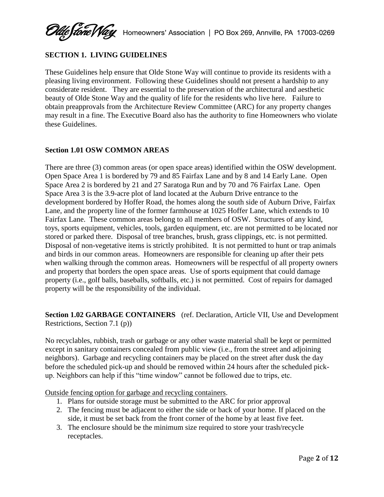# **SECTION 1. LIVING GUIDELINES**

These Guidelines help ensure that Olde Stone Way will continue to provide its residents with a pleasing living environment. Following these Guidelines should not present a hardship to any considerate resident. They are essential to the preservation of the architectural and aesthetic beauty of Olde Stone Way and the quality of life for the residents who live here. Failure to obtain preapprovals from the Architecture Review Committee (ARC) for any property changes may result in a fine. The Executive Board also has the authority to fine Homeowners who violate these Guidelines.

# **Section 1.01 OSW COMMON AREAS**

There are three (3) common areas (or open space areas) identified within the OSW development. Open Space Area 1 is bordered by 79 and 85 Fairfax Lane and by 8 and 14 Early Lane. Open Space Area 2 is bordered by 21 and 27 Saratoga Run and by 70 and 76 Fairfax Lane. Open Space Area 3 is the 3.9-acre plot of land located at the Auburn Drive entrance to the development bordered by Hoffer Road, the homes along the south side of Auburn Drive, Fairfax Lane, and the property line of the former farmhouse at 1025 Hoffer Lane, which extends to 10 Fairfax Lane. These common areas belong to all members of OSW. Structures of any kind, toys, sports equipment, vehicles, tools, garden equipment, etc. are not permitted to be located nor stored or parked there. Disposal of tree branches, brush, grass clippings, etc. is not permitted. Disposal of non-vegetative items is strictly prohibited. It is not permitted to hunt or trap animals and birds in our common areas. Homeowners are responsible for cleaning up after their pets when walking through the common areas. Homeowners will be respectful of all property owners and property that borders the open space areas. Use of sports equipment that could damage property (i.e., golf balls, baseballs, softballs, etc.) is not permitted. Cost of repairs for damaged property will be the responsibility of the individual.

**Section 1.02 GARBAGE CONTAINERS** (ref. Declaration, Article VII, Use and Development Restrictions, Section 7.1 (p))

No recyclables, rubbish, trash or garbage or any other waste material shall be kept or permitted except in sanitary containers concealed from public view (i.e., from the street and adjoining neighbors). Garbage and recycling containers may be placed on the street after dusk the day before the scheduled pick-up and should be removed within 24 hours after the scheduled pickup. Neighbors can help if this "time window" cannot be followed due to trips, etc.

Outside fencing option for garbage and recycling containers.

- 1. Plans for outside storage must be submitted to the ARC for prior approval
- 2. The fencing must be adjacent to either the side or back of your home. If placed on the side, it must be set back from the front corner of the home by at least five feet.
- 3. The enclosure should be the minimum size required to store your trash/recycle receptacles.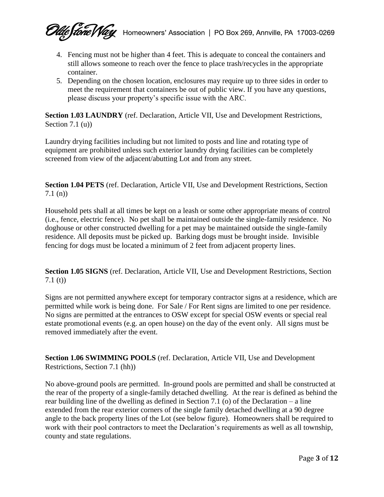algo (1970) Martin 1700 September 1990 Martin 1990 Box 269, Annville, PA 17003-0269

- 4. Fencing must not be higher than 4 feet. This is adequate to conceal the containers and still allows someone to reach over the fence to place trash/recycles in the appropriate container.
- 5. Depending on the chosen location, enclosures may require up to three sides in order to meet the requirement that containers be out of public view. If you have any questions, please discuss your property's specific issue with the ARC.

**Section 1.03 LAUNDRY** (ref. Declaration, Article VII, Use and Development Restrictions, Section 7.1 (u))

Laundry drying facilities including but not limited to posts and line and rotating type of equipment are prohibited unless such exterior laundry drying facilities can be completely screened from view of the adjacent/abutting Lot and from any street.

**Section 1.04 PETS** (ref. Declaration, Article VII, Use and Development Restrictions, Section 7.1 (n))

Household pets shall at all times be kept on a leash or some other appropriate means of control (i.e., fence, electric fence). No pet shall be maintained outside the single-family residence. No doghouse or other constructed dwelling for a pet may be maintained outside the single-family residence. All deposits must be picked up. Barking dogs must be brought inside. Invisible fencing for dogs must be located a minimum of 2 feet from adjacent property lines.

**Section 1.05 SIGNS** (ref. Declaration, Article VII, Use and Development Restrictions, Section 7.1 (t))

Signs are not permitted anywhere except for temporary contractor signs at a residence, which are permitted while work is being done. For Sale / For Rent signs are limited to one per residence. No signs are permitted at the entrances to OSW except for special OSW events or special real estate promotional events (e.g. an open house) on the day of the event only. All signs must be removed immediately after the event.

**Section 1.06 SWIMMING POOLS** (ref. Declaration, Article VII, Use and Development Restrictions, Section 7.1 (hh))

No above-ground pools are permitted. In-ground pools are permitted and shall be constructed at the rear of the property of a single-family detached dwelling. At the rear is defined as behind the rear building line of the dwelling as defined in Section 7.1 (o) of the Declaration – a line extended from the rear exterior corners of the single family detached dwelling at a 90 degree angle to the back property lines of the Lot (see below figure). Homeowners shall be required to work with their pool contractors to meet the Declaration's requirements as well as all township, county and state regulations.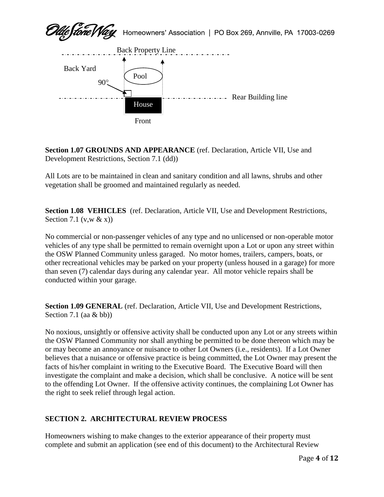

**Section 1.07 GROUNDS AND APPEARANCE** (ref. Declaration, Article VII, Use and Development Restrictions, Section 7.1 (dd))

All Lots are to be maintained in clean and sanitary condition and all lawns, shrubs and other vegetation shall be groomed and maintained regularly as needed.

**Section 1.08 VEHICLES** (ref. Declaration, Article VII, Use and Development Restrictions, Section 7.1 (v,w  $&$  x))

No commercial or non-passenger vehicles of any type and no unlicensed or non-operable motor vehicles of any type shall be permitted to remain overnight upon a Lot or upon any street within the OSW Planned Community unless garaged. No motor homes, trailers, campers, boats, or other recreational vehicles may be parked on your property (unless housed in a garage) for more than seven (7) calendar days during any calendar year. All motor vehicle repairs shall be conducted within your garage.

**Section 1.09 GENERAL** (ref. Declaration, Article VII, Use and Development Restrictions, Section 7.1 (aa & bb))

No noxious, unsightly or offensive activity shall be conducted upon any Lot or any streets within the OSW Planned Community nor shall anything be permitted to be done thereon which may be or may become an annoyance or nuisance to other Lot Owners (i.e., residents). If a Lot Owner believes that a nuisance or offensive practice is being committed, the Lot Owner may present the facts of his/her complaint in writing to the Executive Board. The Executive Board will then investigate the complaint and make a decision, which shall be conclusive. A notice will be sent to the offending Lot Owner. If the offensive activity continues, the complaining Lot Owner has the right to seek relief through legal action.

# **SECTION 2. ARCHITECTURAL REVIEW PROCESS**

Homeowners wishing to make changes to the exterior appearance of their property must complete and submit an application (see end of this document) to the Architectural Review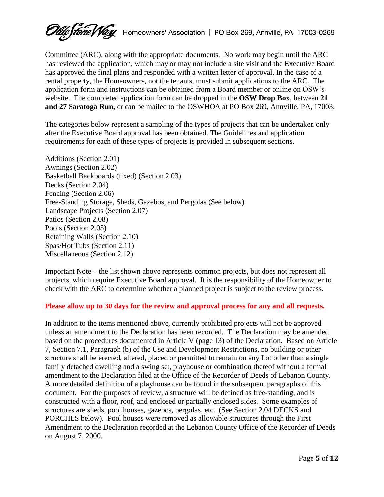*Clue (tone Vlay* Homeowners' Association | PO Box 269, Annville, PA 17003-0269

Committee (ARC), along with the appropriate documents. No work may begin until the ARC has reviewed the application, which may or may not include a site visit and the Executive Board has approved the final plans and responded with a written letter of approval. In the case of a rental property, the Homeowners, not the tenants, must submit applications to the ARC. The application form and instructions can be obtained from a Board member or online on OSW's website. The completed application form can be dropped in the **OSW Drop Box**, between **21 and 27 Saratoga Run,** or can be mailed to the OSWHOA at PO Box 269, Annville, PA, 17003.

The categories below represent a sampling of the types of projects that can be undertaken only after the Executive Board approval has been obtained. The Guidelines and application requirements for each of these types of projects is provided in subsequent sections.

Additions (Section 2.01) Awnings (Section 2.02) Basketball Backboards (fixed) (Section 2.03) Decks (Section 2.04) Fencing (Section 2.06) Free-Standing Storage, Sheds, Gazebos, and Pergolas (See below) Landscape Projects (Section 2.07) Patios (Section 2.08) Pools (Section 2.05) Retaining Walls (Section 2.10) Spas/Hot Tubs (Section 2.11) Miscellaneous (Section 2.12)

Important Note – the list shown above represents common projects, but does not represent all projects, which require Executive Board approval. It is the responsibility of the Homeowner to check with the ARC to determine whether a planned project is subject to the review process.

# **Please allow up to 30 days for the review and approval process for any and all requests.**

In addition to the items mentioned above, currently prohibited projects will not be approved unless an amendment to the Declaration has been recorded. The Declaration may be amended based on the procedures documented in Article V (page 13) of the Declaration. Based on Article 7, Section 7.1, Paragraph (b) of the Use and Development Restrictions, no building or other structure shall be erected, altered, placed or permitted to remain on any Lot other than a single family detached dwelling and a swing set, playhouse or combination thereof without a formal amendment to the Declaration filed at the Office of the Recorder of Deeds of Lebanon County. A more detailed definition of a playhouse can be found in the subsequent paragraphs of this document. For the purposes of review, a structure will be defined as free-standing, and is constructed with a floor, roof, and enclosed or partially enclosed sides. Some examples of structures are sheds, pool houses, gazebos, pergolas, etc. (See Section 2.04 DECKS and PORCHES below). Pool houses were removed as allowable structures through the First Amendment to the Declaration recorded at the Lebanon County Office of the Recorder of Deeds on August 7, 2000.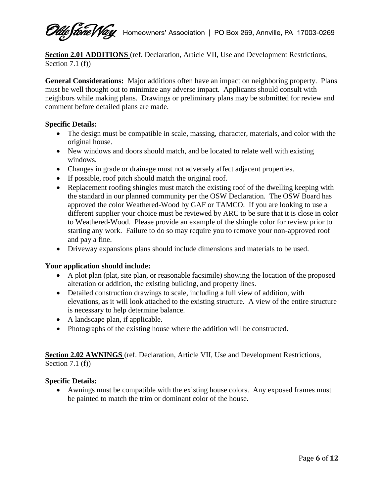**Ude frone VVay** Homeowners' Association | PO Box 269, Annville, PA 17003-0269

**Section 2.01 ADDITIONS** (ref. Declaration, Article VII, Use and Development Restrictions, Section 7.1  $(f)$ )

**General Considerations:** Major additions often have an impact on neighboring property. Plans must be well thought out to minimize any adverse impact. Applicants should consult with neighbors while making plans. Drawings or preliminary plans may be submitted for review and comment before detailed plans are made.

# **Specific Details:**

- The design must be compatible in scale, massing, character, materials, and color with the original house.
- New windows and doors should match, and be located to relate well with existing windows.
- Changes in grade or drainage must not adversely affect adjacent properties.
- If possible, roof pitch should match the original roof.
- Replacement roofing shingles must match the existing roof of the dwelling keeping with the standard in our planned community per the OSW Declaration. The OSW Board has approved the color Weathered-Wood by GAF or TAMCO. If you are looking to use a different supplier your choice must be reviewed by ARC to be sure that it is close in color to Weathered-Wood. Please provide an example of the shingle color for review prior to starting any work. Failure to do so may require you to remove your non-approved roof and pay a fine.
- Driveway expansions plans should include dimensions and materials to be used.

# **Your application should include:**

- A plot plan (plat, site plan, or reasonable facsimile) showing the location of the proposed alteration or addition, the existing building, and property lines.
- Detailed construction drawings to scale, including a full view of addition, with elevations, as it will look attached to the existing structure. A view of the entire structure is necessary to help determine balance.
- A landscape plan, if applicable.
- Photographs of the existing house where the addition will be constructed.

**Section 2.02 AWNINGS** (ref. Declaration, Article VII, Use and Development Restrictions, Section 7.1 (f)

# **Specific Details:**

 Awnings must be compatible with the existing house colors. Any exposed frames must be painted to match the trim or dominant color of the house.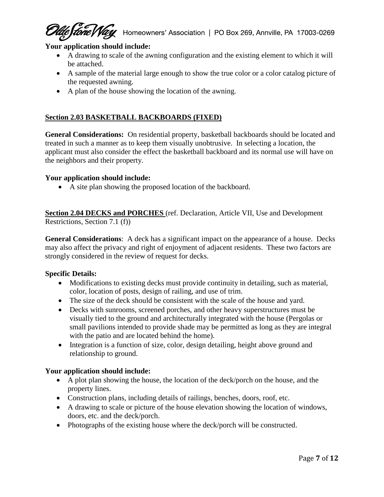**Stone Way** Homeowners' Association | PO Box 269, Annville, PA 17003-0269

# **Your application should include:**

- A drawing to scale of the awning configuration and the existing element to which it will be attached.
- A sample of the material large enough to show the true color or a color catalog picture of the requested awning.
- A plan of the house showing the location of the awning.

# **Section 2.03 BASKETBALL BACKBOARDS (FIXED)**

**General Considerations:** On residential property, basketball backboards should be located and treated in such a manner as to keep them visually unobtrusive. In selecting a location, the applicant must also consider the effect the basketball backboard and its normal use will have on the neighbors and their property.

#### **Your application should include:**

A site plan showing the proposed location of the backboard.

**Section 2.04 DECKS and PORCHES** (ref. Declaration, Article VII, Use and Development Restrictions, Section 7.1 (f))

**General Considerations**: A deck has a significant impact on the appearance of a house. Decks may also affect the privacy and right of enjoyment of adjacent residents. These two factors are strongly considered in the review of request for decks.

#### **Specific Details:**

- Modifications to existing decks must provide continuity in detailing, such as material, color, location of posts, design of railing, and use of trim.
- The size of the deck should be consistent with the scale of the house and yard.
- Decks with sunrooms, screened porches, and other heavy superstructures must be visually tied to the ground and architecturally integrated with the house (Pergolas or small pavilions intended to provide shade may be permitted as long as they are integral with the patio and are located behind the home).
- Integration is a function of size, color, design detailing, height above ground and relationship to ground.

# **Your application should include:**

- A plot plan showing the house, the location of the deck/porch on the house, and the property lines.
- Construction plans, including details of railings, benches, doors, roof, etc.
- A drawing to scale or picture of the house elevation showing the location of windows, doors, etc. and the deck/porch.
- Photographs of the existing house where the deck/porch will be constructed.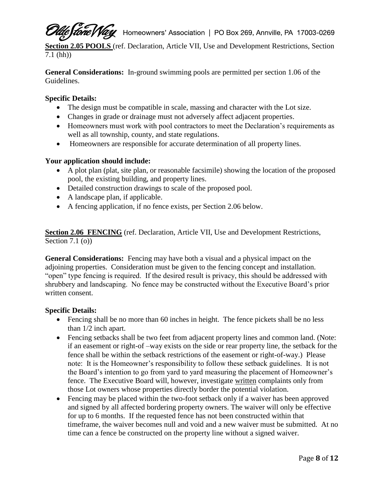*Lone Vlay* Homeowners' Association | PO Box 269, Annville, PA 17003-0269

**Section 2.05 POOLS** (ref. Declaration, Article VII, Use and Development Restrictions, Section 7.1 (hh))

**General Considerations:** In-ground swimming pools are permitted per section 1.06 of the Guidelines.

# **Specific Details:**

- The design must be compatible in scale, massing and character with the Lot size.
- Changes in grade or drainage must not adversely affect adjacent properties.
- Homeowners must work with pool contractors to meet the Declaration's requirements as well as all township, county, and state regulations.
- Homeowners are responsible for accurate determination of all property lines.

# **Your application should include:**

- A plot plan (plat, site plan, or reasonable facsimile) showing the location of the proposed pool, the existing building, and property lines.
- Detailed construction drawings to scale of the proposed pool.
- A landscape plan, if applicable.
- A fencing application, if no fence exists, per Section 2.06 below.

**Section 2.06 FENCING** (ref. Declaration, Article VII, Use and Development Restrictions, Section 7.1 (o))

**General Considerations:** Fencing may have both a visual and a physical impact on the adjoining properties. Consideration must be given to the fencing concept and installation. "open" type fencing is required. If the desired result is privacy, this should be addressed with shrubbery and landscaping. No fence may be constructed without the Executive Board's prior written consent.

# **Specific Details:**

- Fencing shall be no more than 60 inches in height. The fence pickets shall be no less than 1/2 inch apart.
- Fencing setbacks shall be two feet from adjacent property lines and common land. (Note: if an easement or right-of –way exists on the side or rear property line, the setback for the fence shall be within the setback restrictions of the easement or right-of-way.) Please note: It is the Homeowner's responsibility to follow these setback guidelines. It is not the Board's intention to go from yard to yard measuring the placement of Homeowner's fence. The Executive Board will, however, investigate written complaints only from those Lot owners whose properties directly border the potential violation.
- Fencing may be placed within the two-foot setback only if a waiver has been approved and signed by all affected bordering property owners. The waiver will only be effective for up to 6 months. If the requested fence has not been constructed within that timeframe, the waiver becomes null and void and a new waiver must be submitted. At no time can a fence be constructed on the property line without a signed waiver.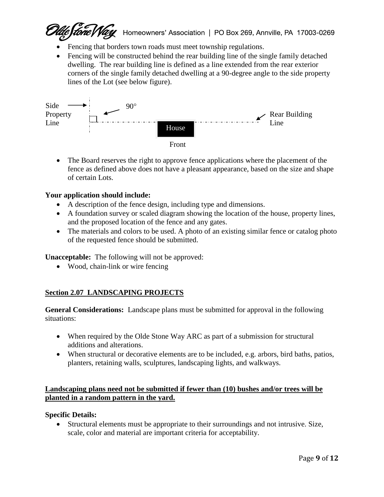Eftene Way Homeowners' Association | PO Box 269, Annville, PA 17003-0269

- Fencing that borders town roads must meet township regulations.
- Fencing will be constructed behind the rear building line of the single family detached dwelling. The rear building line is defined as a line extended from the rear exterior corners of the single family detached dwelling at a 90-degree angle to the side property lines of the Lot (see below figure).



• The Board reserves the right to approve fence applications where the placement of the fence as defined above does not have a pleasant appearance, based on the size and shape of certain Lots.

# **Your application should include:**

- A description of the fence design, including type and dimensions.
- A foundation survey or scaled diagram showing the location of the house, property lines, and the proposed location of the fence and any gates.
- The materials and colors to be used. A photo of an existing similar fence or catalog photo of the requested fence should be submitted.

**Unacceptable:** The following will not be approved:

• Wood, chain-link or wire fencing

# **Section 2.07 LANDSCAPING PROJECTS**

**General Considerations:** Landscape plans must be submitted for approval in the following situations:

- When required by the Olde Stone Way ARC as part of a submission for structural additions and alterations.
- When structural or decorative elements are to be included, e.g. arbors, bird baths, patios, planters, retaining walls, sculptures, landscaping lights, and walkways.

# **Landscaping plans need not be submitted if fewer than (10) bushes and/or trees will be planted in a random pattern in the yard.**

#### **Specific Details:**

 Structural elements must be appropriate to their surroundings and not intrusive. Size, scale, color and material are important criteria for acceptability.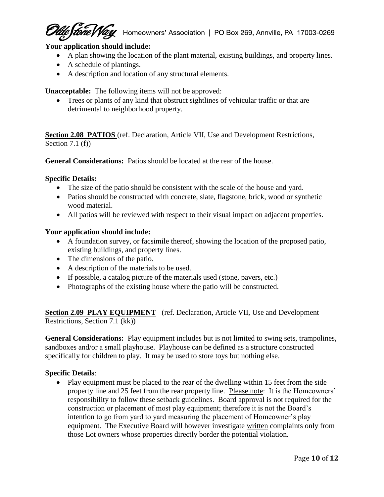eftone May Homeowners' Association | PO Box 269, Annville, PA 17003-0269

# **Your application should include:**

- A plan showing the location of the plant material, existing buildings, and property lines.
- A schedule of plantings.
- A description and location of any structural elements.

**Unacceptable:** The following items will not be approved:

 Trees or plants of any kind that obstruct sightlines of vehicular traffic or that are detrimental to neighborhood property.

**Section 2.08 PATIOS** (ref. Declaration, Article VII, Use and Development Restrictions, Section 7.1 (f))

**General Considerations:** Patios should be located at the rear of the house.

#### **Specific Details:**

- The size of the patio should be consistent with the scale of the house and yard.
- Patios should be constructed with concrete, slate, flagstone, brick, wood or synthetic wood material.
- All patios will be reviewed with respect to their visual impact on adjacent properties.

#### **Your application should include:**

- A foundation survey, or facsimile thereof, showing the location of the proposed patio, existing buildings, and property lines.
- The dimensions of the patio.
- A description of the materials to be used.
- If possible, a catalog picture of the materials used (stone, pavers, etc.)
- Photographs of the existing house where the patio will be constructed.

**Section 2.09 PLAY EQUIPMENT** (ref. Declaration, Article VII, Use and Development Restrictions, Section 7.1 (kk))

**General Considerations:** Play equipment includes but is not limited to swing sets, trampolines, sandboxes and/or a small playhouse. Playhouse can be defined as a structure constructed specifically for children to play. It may be used to store toys but nothing else.

# **Specific Details**:

• Play equipment must be placed to the rear of the dwelling within 15 feet from the side property line and 25 feet from the rear property line. Please note: It is the Homeowners' responsibility to follow these setback guidelines. Board approval is not required for the construction or placement of most play equipment; therefore it is not the Board's intention to go from yard to yard measuring the placement of Homeowner's play equipment. The Executive Board will however investigate written complaints only from those Lot owners whose properties directly border the potential violation.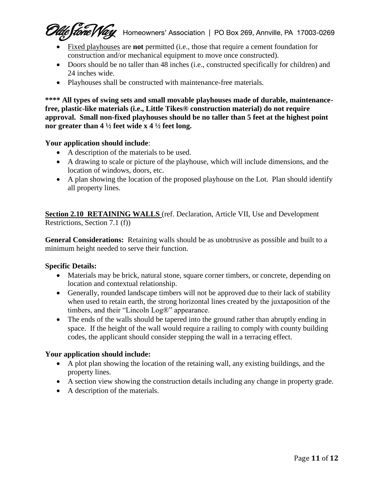Leftone May Homeowners' Association | PO Box 269, Annville, PA 17003-0269

- Fixed playhouses are **not** permitted (i.e., those that require a cement foundation for construction and/or mechanical equipment to move once constructed).
- Doors should be no taller than 48 inches (i.e., constructed specifically for children) and 24 inches wide.
- Playhouses shall be constructed with maintenance-free materials.

\*\*\*\* All types of swing sets and small movable playhouses made of durable, maintenance**free, plastic-like materials (i.e., Little Tikes® construction material) do not require approval. Small non-fixed playhouses should be no taller than 5 feet at the highest point nor greater than 4 ½ feet wide x 4 ½ feet long.**

# **Your application should include**:

- A description of the materials to be used.
- A drawing to scale or picture of the playhouse, which will include dimensions, and the location of windows, doors, etc.
- A plan showing the location of the proposed playhouse on the Lot. Plan should identify all property lines.

**Section 2.10 RETAINING WALLS** (ref. Declaration, Article VII, Use and Development Restrictions, Section 7.1 (f))

**General Considerations:** Retaining walls should be as unobtrusive as possible and built to a minimum height needed to serve their function.

# **Specific Details:**

- Materials may be brick, natural stone, square corner timbers, or concrete, depending on location and contextual relationship.
- Generally, rounded landscape timbers will not be approved due to their lack of stability when used to retain earth, the strong horizontal lines created by the juxtaposition of the timbers, and their "Lincoln Log®" appearance.
- The ends of the walls should be tapered into the ground rather than abruptly ending in space. If the height of the wall would require a railing to comply with county building codes, the applicant should consider stepping the wall in a terracing effect.

# **Your application should include:**

- A plot plan showing the location of the retaining wall, any existing buildings, and the property lines.
- A section view showing the construction details including any change in property grade.
- A description of the materials.